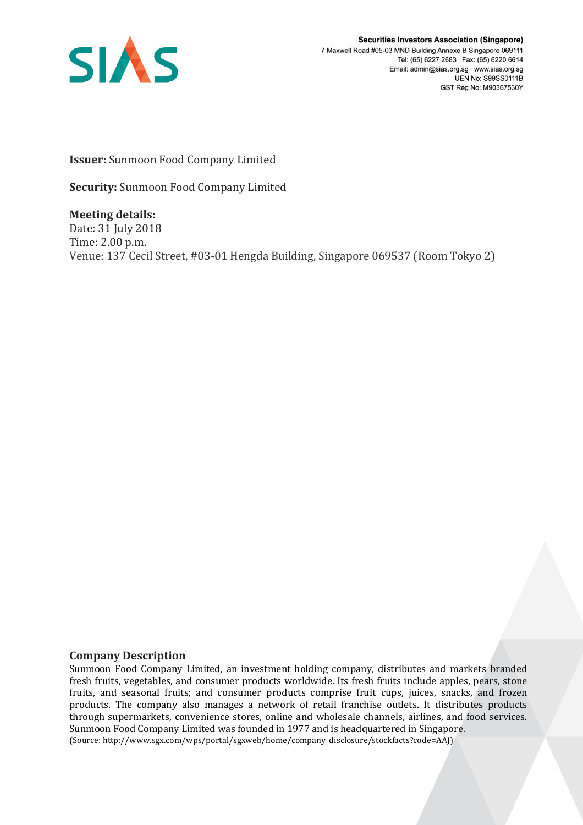

**Securities Investors Association (Singapore)** 7 Maxwell Road #05-03 MND Building Annexe B Singapore 069111 Tel: (65) 6227 2683 Fax: (65) 6220 6614 Email: admin@sias.org.sg www.sias.org.sg **UEN No: S99SS0111B** GST Reg No: M90367530Y

**Issuer:** Sunmoon Food Company Limited

**Security:** Sunmoon Food Company Limited

**Meeting details:**  Date: 31 July 2018 Time: 2.00 p.m. Venue: 137 Cecil Street, #03-01 Hengda Building, Singapore 069537 (Room Tokyo 2)

## **Company Description**

Sunmoon Food Company Limited, an investment holding company, distributes and markets branded fresh fruits, vegetables, and consumer products worldwide. Its fresh fruits include apples, pears, stone fruits, and seasonal fruits; and consumer products comprise fruit cups, juices, snacks, and frozen products. The company also manages a network of retail franchise outlets. It distributes products through supermarkets, convenience stores, online and wholesale channels, airlines, and food services. Sunmoon Food Company Limited was founded in 1977 and is headquartered in Singapore. (Source: http://www.sgx.com/wps/portal/sgxweb/home/company\_disclosure/stockfacts?code=AAJ)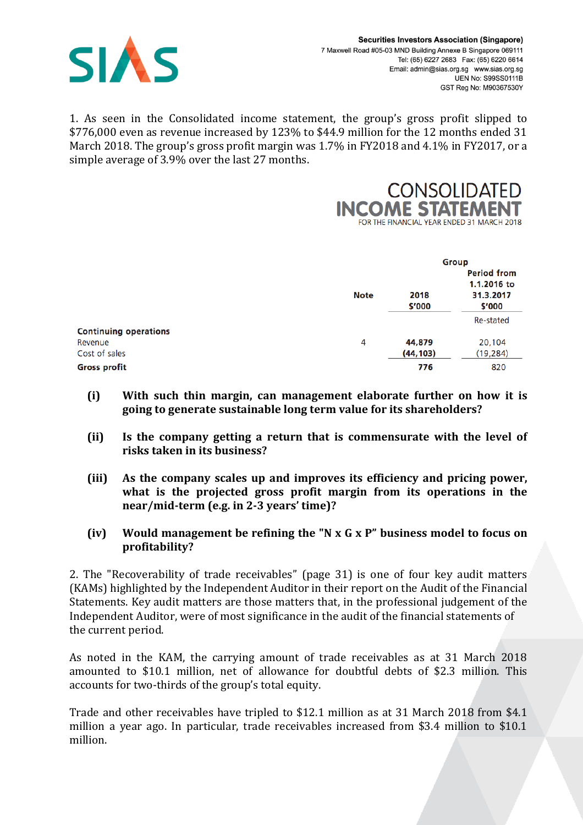

1. As seen in the Consolidated income statement, the group's gross profit slipped to \$776,000 even as revenue increased by 123% to \$44.9 million for the 12 months ended 31 March 2018. The group's gross profit margin was 1.7% in FY2018 and 4.1% in FY2017, or a simple average of 3.9% over the last 27 months.



|                              |             | Group          |                                   |  |
|------------------------------|-------------|----------------|-----------------------------------|--|
|                              |             |                | <b>Period from</b><br>1.1.2016 to |  |
|                              | <b>Note</b> | 2018<br>\$'000 | 31.3.2017<br>\$'000               |  |
|                              |             |                | Re-stated                         |  |
| <b>Continuing operations</b> |             |                |                                   |  |
| Revenue                      | 4           | 44,879         | 20,104                            |  |
| Cost of sales                |             | (44, 103)      | (19, 284)                         |  |
| <b>Gross profit</b>          |             | 776            | 820                               |  |

- **(i) With such thin margin, can management elaborate further on how it is going to generate sustainable long term value for its shareholders?**
- **(ii) Is the company getting a return that is commensurate with the level of risks taken in its business?**
- **(iii) As the company scales up and improves its efficiency and pricing power, what is the projected gross profit margin from its operations in the near/mid-term (e.g. in 2-3 years' time)?**
- **(iv) Would management be refining the "N x G x P" business model to focus on profitability?**

2. The "Recoverability of trade receivables" (page 31) is one of four key audit matters (KAMs) highlighted by the Independent Auditor in their report on the Audit of the Financial Statements. Key audit matters are those matters that, in the professional judgement of the Independent Auditor, were of most significance in the audit of the financial statements of the current period.

As noted in the KAM, the carrying amount of trade receivables as at 31 March 2018 amounted to \$10.1 million, net of allowance for doubtful debts of \$2.3 million. This accounts for two-thirds of the group's total equity.

Trade and other receivables have tripled to \$12.1 million as at 31 March 2018 from \$4.1 million a year ago. In particular, trade receivables increased from \$3.4 million to \$10.1 million.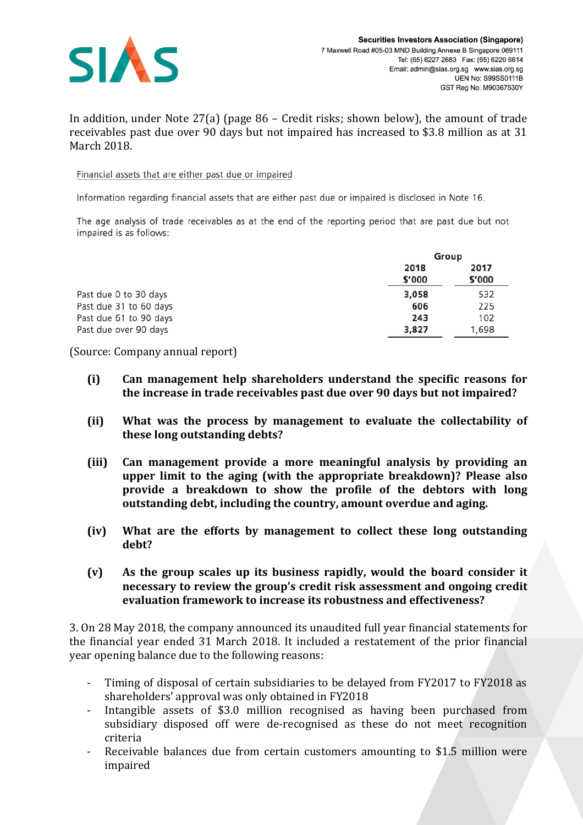

In addition, under Note 27(a) (page 86 – Credit risks; shown below), the amount of trade receivables past due over 90 days but not impaired has increased to \$3.8 million as at 31 March 2018.

Financial assets that are either past due or impaired

Information regarding financial assets that are either past due or impaired is disclosed in Note 16.

The age analysis of trade receivables as at the end of the reporting period that are past due but not impaired is as follows:

|                        | Group          |                |
|------------------------|----------------|----------------|
|                        | 2018<br>\$'000 | 2017<br>\$'000 |
| Past due 0 to 30 days  | 3,058          | 532            |
| Past due 31 to 60 days | 606            | 225            |
| Past due 61 to 90 days | 243            | 102            |
| Past due over 90 days  | 3,827          | 1.698          |

(Source: Company annual report)

- **(i) Can management help shareholders understand the specific reasons for the increase in trade receivables past due over 90 days but not impaired?**
- **(ii) What was the process by management to evaluate the collectability of these long outstanding debts?**
- **(iii) Can management provide a more meaningful analysis by providing an upper limit to the aging (with the appropriate breakdown)? Please also provide a breakdown to show the profile of the debtors with long outstanding debt, including the country, amount overdue and aging.**
- **(iv) What are the efforts by management to collect these long outstanding debt?**
- **(v) As the group scales up its business rapidly, would the board consider it necessary to review the group's credit risk assessment and ongoing credit evaluation framework to increase its robustness and effectiveness?**

3. On 28 May 2018, the company announced its unaudited full year financial statements for the financial year ended 31 March 2018. It included a restatement of the prior financial year opening balance due to the following reasons:

- Timing of disposal of certain subsidiaries to be delayed from FY2017 to FY2018 as shareholders' approval was only obtained in FY2018
- Intangible assets of \$3.0 million recognised as having been purchased from subsidiary disposed off were de-recognised as these do not meet recognition criteria
- Receivable balances due from certain customers amounting to \$1.5 million were impaired